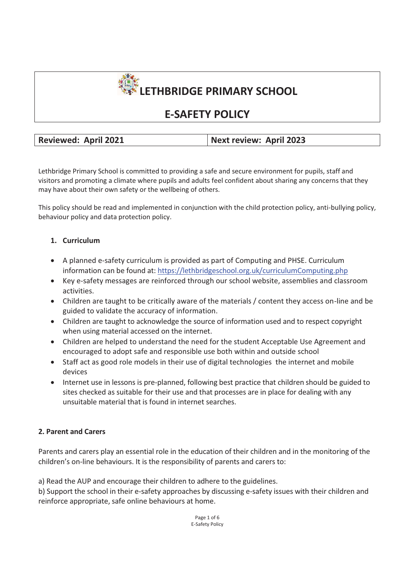

# **E-SAFETY POLICY**

**Reviewed: April 2021 Next review: April 2023** 

Lethbridge Primary School is committed to providing a safe and secure environment for pupils, staff and visitors and promoting a climate where pupils and adults feel confident about sharing any concerns that they may have about their own safety or the wellbeing of others.

This policy should be read and implemented in conjunction with the child protection policy, anti-bullying policy, behaviour policy and data protection policy.

# **1. Curriculum**

- A planned e-safety curriculum is provided as part of Computing and PHSE. Curriculum information can be found at: https://lethbridgeschool.org.uk/curriculumComputing.php
- Key e-safety messages are reinforced through our school website, assemblies and classroom activities.
- Children are taught to be critically aware of the materials / content they access on-line and be guided to validate the accuracy of information.
- Children are taught to acknowledge the source of information used and to respect copyright when using material accessed on the internet.
- Children are helped to understand the need for the student Acceptable Use Agreement and encouraged to adopt safe and responsible use both within and outside school
- Staff act as good role models in their use of digital technologies the internet and mobile devices
- Internet use in lessons is pre-planned, following best practice that children should be guided to sites checked as suitable for their use and that processes are in place for dealing with any unsuitable material that is found in internet searches.

# **2. Parent and Carers**

Parents and carers play an essential role in the education of their children and in the monitoring of the children's on-line behaviours. It is the responsibility of parents and carers to:

a) Read the AUP and encourage their children to adhere to the guidelines.

b) Support the school in their e-safety approaches by discussing e-safety issues with their children and reinforce appropriate, safe online behaviours at home.

> Page 1 of 6 E-Safety Policy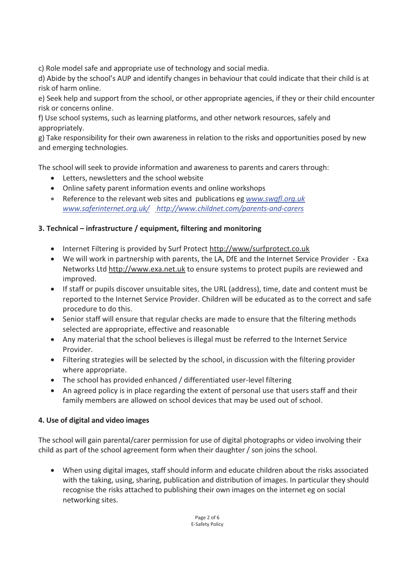c) Role model safe and appropriate use of technology and social media.

d) Abide by the school's AUP and identify changes in behaviour that could indicate that their child is at risk of harm online.

e) Seek help and support from the school, or other appropriate agencies, if they or their child encounter risk or concerns online.

f) Use school systems, such as learning platforms, and other network resources, safely and appropriately.

g) Take responsibility for their own awareness in relation to the risks and opportunities posed by new and emerging technologies.

The school will seek to provide information and awareness to parents and carers through:

- Letters, newsletters and the school website
- Online safety parent information events and online workshops
- Reference to the relevant web sites and publications eg *www.swgfl.org.uk www.saferinternet.org.uk/ http://www.childnet.com/parents-and-carers*

# **3. Technical – infrastructure / equipment, filtering and monitoring**

- Internet Filtering is provided by Surf Protect http://www/surfprotect.co.uk
- We will work in partnership with parents, the LA, DfE and the Internet Service Provider Exa Networks Ltd http://www.exa.net.uk to ensure systems to protect pupils are reviewed and improved.
- If staff or pupils discover unsuitable sites, the URL (address), time, date and content must be reported to the Internet Service Provider. Children will be educated as to the correct and safe procedure to do this.
- Senior staff will ensure that regular checks are made to ensure that the filtering methods selected are appropriate, effective and reasonable
- Any material that the school believes is illegal must be referred to the Internet Service Provider.
- Filtering strategies will be selected by the school, in discussion with the filtering provider where appropriate.
- The school has provided enhanced / differentiated user-level filtering
- An agreed policy is in place regarding the extent of personal use that users staff and their family members are allowed on school devices that may be used out of school.

# **4. Use of digital and video images**

The school will gain parental/carer permission for use of digital photographs or video involving their child as part of the school agreement form when their daughter / son joins the school.

- When using digital images, staff should inform and educate children about the risks associated with the taking, using, sharing, publication and distribution of images. In particular they should recognise the risks attached to publishing their own images on the internet eg on social networking sites.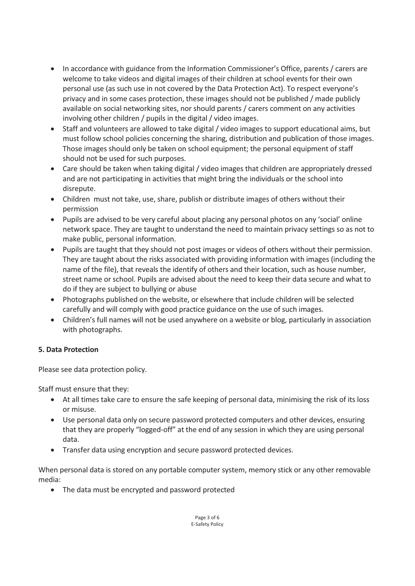- In accordance with guidance from the Information Commissioner's Office, parents / carers are welcome to take videos and digital images of their children at school events for their own personal use (as such use in not covered by the Data Protection Act). To respect everyone's privacy and in some cases protection, these images should not be published / made publicly available on social networking sites, nor should parents / carers comment on any activities involving other children / pupils in the digital / video images.
- Staff and volunteers are allowed to take digital / video images to support educational aims, but must follow school policies concerning the sharing, distribution and publication of those images. Those images should only be taken on school equipment; the personal equipment of staff should not be used for such purposes.
- Care should be taken when taking digital / video images that children are appropriately dressed and are not participating in activities that might bring the individuals or the school into disrepute.
- Children must not take, use, share, publish or distribute images of others without their permission
- Pupils are advised to be very careful about placing any personal photos on any 'social' online network space. They are taught to understand the need to maintain privacy settings so as not to make public, personal information.
- - Pupils are taught that they should not post images or videos of others without their permission. They are taught about the risks associated with providing information with images (including the name of the file), that reveals the identify of others and their location, such as house number, street name or school. Pupils are advised about the need to keep their data secure and what to do if they are subject to bullying or abuse
- Photographs published on the website, or elsewhere that include children will be selected carefully and will comply with good practice guidance on the use of such images.
- Children's full names will not be used anywhere on a website or blog, particularly in association with photographs.

# **5. Data Protection**

Please see data protection policy.

Staff must ensure that they:

- At all times take care to ensure the safe keeping of personal data, minimising the risk of its loss or misuse.
- Use personal data only on secure password protected computers and other devices, ensuring that they are properly "logged-off" at the end of any session in which they are using personal data.
- Transfer data using encryption and secure password protected devices.

When personal data is stored on any portable computer system, memory stick or any other removable media:

- The data must be encrypted and password protected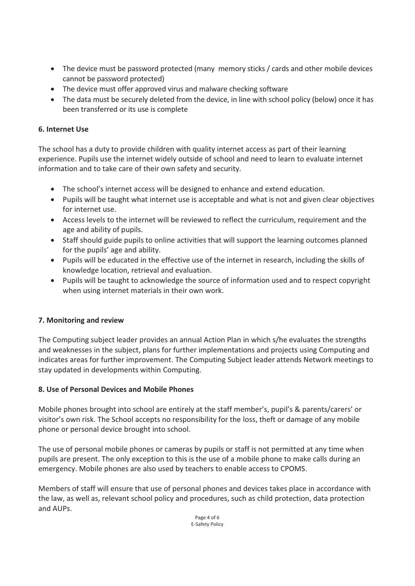- The device must be password protected (many memory sticks / cards and other mobile devices cannot be password protected)
- The device must offer approved virus and malware checking software
- The data must be securely deleted from the device, in line with school policy (below) once it has been transferred or its use is complete

# **6. Internet Use**

The school has a duty to provide children with quality internet access as part of their learning experience. Pupils use the internet widely outside of school and need to learn to evaluate internet information and to take care of their own safety and security.

- The school's internet access will be designed to enhance and extend education.
- Pupils will be taught what internet use is acceptable and what is not and given clear objectives for internet use.
- Access levels to the internet will be reviewed to reflect the curriculum, requirement and the age and ability of pupils.
- Staff should guide pupils to online activities that will support the learning outcomes planned for the pupils' age and ability.
- Pupils will be educated in the effective use of the internet in research, including the skills of knowledge location, retrieval and evaluation.
- Pupils will be taught to acknowledge the source of information used and to respect copyright when using internet materials in their own work.

# **7. Monitoring and review**

The Computing subject leader provides an annual Action Plan in which s/he evaluates the strengths and weaknesses in the subject, plans for further implementations and projects using Computing and indicates areas for further improvement. The Computing Subject leader attends Network meetings to stay updated in developments within Computing.

# **8. Use of Personal Devices and Mobile Phones**

Mobile phones brought into school are entirely at the staff member's, pupil's & parents/carers' or visitor's own risk. The School accepts no responsibility for the loss, theft or damage of any mobile phone or personal device brought into school.

The use of personal mobile phones or cameras by pupils or staff is not permitted at any time when pupils are present. The only exception to this is the use of a mobile phone to make calls during an emergency. Mobile phones are also used by teachers to enable access to CPOMS.

Members of staff will ensure that use of personal phones and devices takes place in accordance with the law, as well as, relevant school policy and procedures, such as child protection, data protection and AUPs.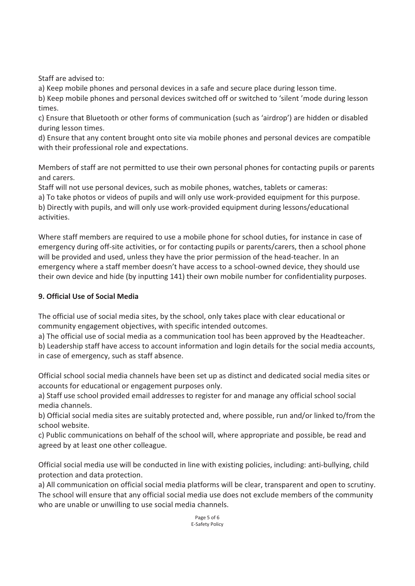Staff are advised to:

a) Keep mobile phones and personal devices in a safe and secure place during lesson time.

b) Keep mobile phones and personal devices switched off or switched to 'silent 'mode during lesson times.

c) Ensure that Bluetooth or other forms of communication (such as 'airdrop') are hidden or disabled during lesson times.

d) Ensure that any content brought onto site via mobile phones and personal devices are compatible with their professional role and expectations.

Members of staff are not permitted to use their own personal phones for contacting pupils or parents and carers.

Staff will not use personal devices, such as mobile phones, watches, tablets or cameras:

a) To take photos or videos of pupils and will only use work-provided equipment for this purpose.

b) Directly with pupils, and will only use work-provided equipment during lessons/educational activities.

Where staff members are required to use a mobile phone for school duties, for instance in case of emergency during off-site activities, or for contacting pupils or parents/carers, then a school phone will be provided and used, unless they have the prior permission of the head-teacher. In an emergency where a staff member doesn't have access to a school-owned device, they should use their own device and hide (by inputting 141) their own mobile number for confidentiality purposes.

# **9. Official Use of Social Media**

The official use of social media sites, by the school, only takes place with clear educational or community engagement objectives, with specific intended outcomes.

a) The official use of social media as a communication tool has been approved by the Headteacher.

b) Leadership staff have access to account information and login details for the social media accounts, in case of emergency, such as staff absence.

Official school social media channels have been set up as distinct and dedicated social media sites or accounts for educational or engagement purposes only.

a) Staff use school provided email addresses to register for and manage any official school social media channels.

b) Official social media sites are suitably protected and, where possible, run and/or linked to/from the school website.

c) Public communications on behalf of the school will, where appropriate and possible, be read and agreed by at least one other colleague.

Official social media use will be conducted in line with existing policies, including: anti-bullying, child protection and data protection.

a) All communication on official social media platforms will be clear, transparent and open to scrutiny. The school will ensure that any official social media use does not exclude members of the community who are unable or unwilling to use social media channels.